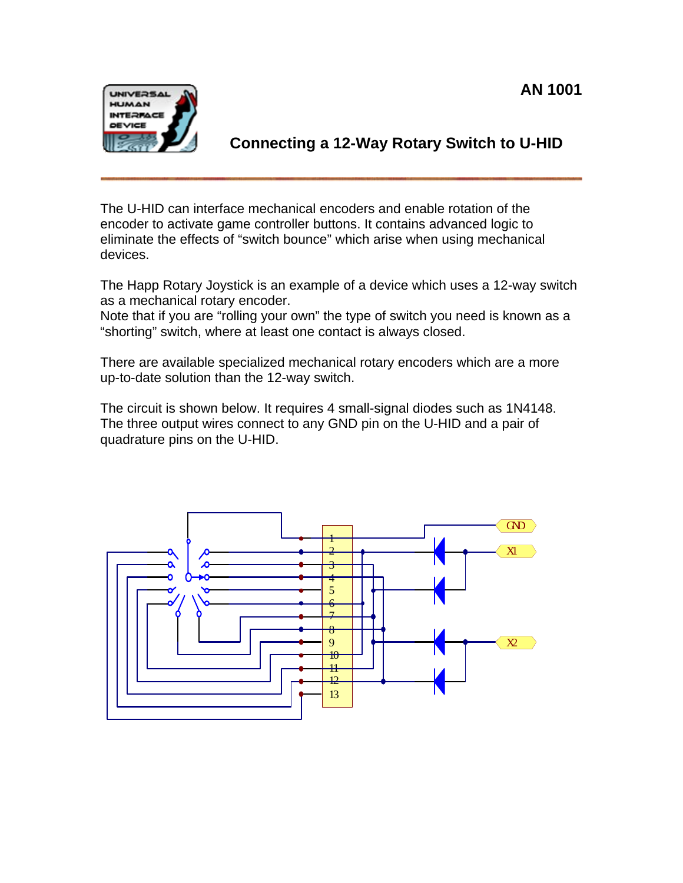

**Connecting a 12-Way Rotary Switch to U-HID** 

The U-HID can interface mechanical encoders and enable rotation of the encoder to activate game controller buttons. It contains advanced logic to eliminate the effects of "switch bounce" which arise when using mechanical devices.

The Happ Rotary Joystick is an example of a device which uses a 12-way switch as a mechanical rotary encoder.

Note that if you are "rolling your own" the type of switch you need is known as a "shorting" switch, where at least one contact is always closed.

There are available specialized mechanical rotary encoders which are a more up-to-date solution than the 12-way switch.

The circuit is shown below. It requires 4 small-signal diodes such as 1N4148. The three output wires connect to any GND pin on the U-HID and a pair of quadrature pins on the U-HID.

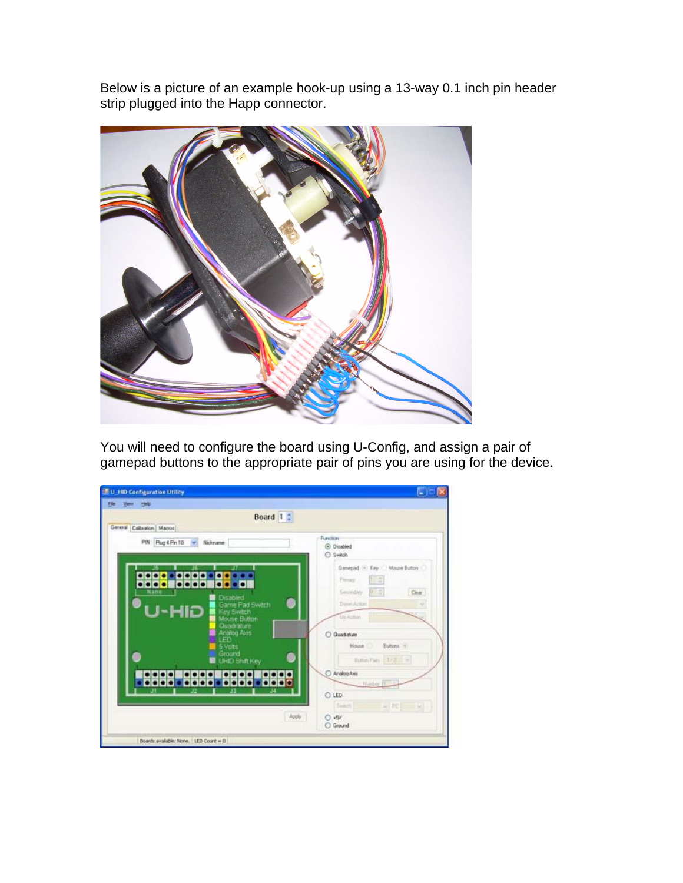Below is a picture of an example hook-up using a 13-way 0.1 inch pin header strip plugged into the Happ connector.



You will need to configure the board using U-Config, and assign a pair of gamepad buttons to the appropriate pair of pins you are using for the device.

| Heb<br>1 Views                                                                 |                               |
|--------------------------------------------------------------------------------|-------------------------------|
| Board 1:                                                                       |                               |
| General Calibration Macros                                                     |                               |
| PIN Plug 4 Pin 10<br>Nickname                                                  | Function                      |
|                                                                                | <b>C</b> Disabled<br>C Switch |
|                                                                                |                               |
| л                                                                              | Gamepad - Key / Moute Button  |
| <b>BOD</b><br>$\bullet\bullet\bullet\bullet$<br>$\bullet\bullet\bullet\bullet$ | 15 S<br>Primary               |
| Nano<br><b>Disabled</b>                                                        | Secondary 1991.5<br>Clear     |
| Game Pad Swach                                                                 | Direct Action<br>÷            |
| U-HID<br>Key Switch<br>Mouse Button                                            | Un Aution                     |
| Quadrature<br>Analog Axis                                                      |                               |
| LED                                                                            | O Quadrature                  |
| 5 Volts<br>Ground                                                              | Moune C<br>Buttons (4)        |
| <b>UHD Shit Key</b>                                                            | Edin Fars 177 V               |
| $\bullet\bullet\bullet$                                                        | O Analog Aves                 |
| <u> 0000 - 0000 - 0000 - 0000</u>                                              | Nadar.                        |
|                                                                                | C LED                         |
|                                                                                | Seat) = PC U                  |
|                                                                                | Apply<br>$O - BV$             |
|                                                                                | C Ground                      |